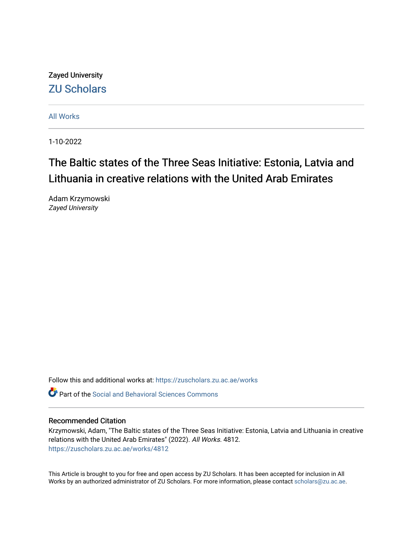Zayed University [ZU Scholars](https://zuscholars.zu.ac.ae/) 

[All Works](https://zuscholars.zu.ac.ae/works)

1-10-2022

# The Baltic states of the Three Seas Initiative: Estonia, Latvia and Lithuania in creative relations with the United Arab Emirates

Adam Krzymowski Zayed University

Follow this and additional works at: [https://zuscholars.zu.ac.ae/works](https://zuscholars.zu.ac.ae/works?utm_source=zuscholars.zu.ac.ae%2Fworks%2F4812&utm_medium=PDF&utm_campaign=PDFCoverPages)

**C** Part of the Social and Behavioral Sciences Commons

# Recommended Citation

Krzymowski, Adam, "The Baltic states of the Three Seas Initiative: Estonia, Latvia and Lithuania in creative relations with the United Arab Emirates" (2022). All Works. 4812. [https://zuscholars.zu.ac.ae/works/4812](https://zuscholars.zu.ac.ae/works/4812?utm_source=zuscholars.zu.ac.ae%2Fworks%2F4812&utm_medium=PDF&utm_campaign=PDFCoverPages)

This Article is brought to you for free and open access by ZU Scholars. It has been accepted for inclusion in All Works by an authorized administrator of ZU Scholars. For more information, please contact [scholars@zu.ac.ae](mailto:scholars@zu.ac.ae).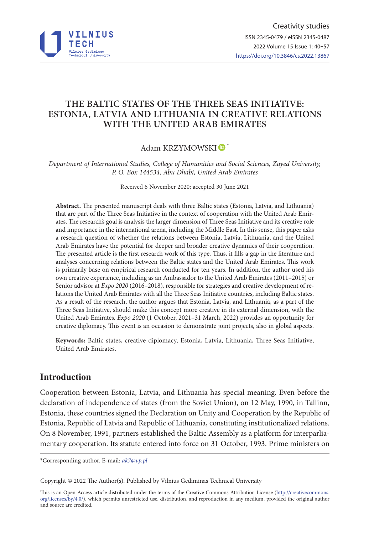

# **THE BALTIC STATES OF THE THREE SEAS INITIATIVE: ESTONIA, LATVIA AND LITHUANIA IN CREATIVE RELATIONS WITH THE UNITED ARAB EMIRATES**

# Adam KRZYMOWSKI<sup>D\*</sup>

*Department of International Studies, College of Humanities and Social Sciences, Zayed University, P. O. Box 144534, Abu Dhabi, United Arab Emirates*

Received 6 November 2020; accepted 30 June 2021

**Abstract.** The presented manuscript deals with three Baltic states (Estonia, Latvia, and Lithuania) that are part of the Three Seas Initiative in the context of cooperation with the United Arab Emirates. The research's goal is analysis the larger dimension of Three Seas Initiative and its creative role and importance in the international arena, including the Middle East. In this sense, this paper asks a research question of whether the relations between Estonia, Latvia, Lithuania, and the United Arab Emirates have the potential for deeper and broader creative dynamics of their cooperation. The presented article is the first research work of this type. Thus, it fills a gap in the literature and analyses concerning relations between the Baltic states and the United Arab Emirates. This work is primarily base on empirical research conducted for ten years. In addition, the author used his own creative experience, including as an Ambassador to the United Arab Emirates (2011–2015) or Senior advisor at *Expo 2020* (2016–2018), responsible for strategies and creative development of relations the United Arab Emirates with all the Three Seas Initiative countries, including Baltic states. As a result of the research, the author argues that Estonia, Latvia, and Lithuania, as a part of the Three Seas Initiative, should make this concept more creative in its external dimension, with the United Arab Emirates. *Expo 2020* (1 October, 2021–31 March, 2022) provides an opportunity for creative diplomacy. This event is an occasion to demonstrate joint projects, also in global aspects.

**Keywords:** Baltic states, creative diplomacy, Estonia, Latvia, Lithuania, Three Seas Initiative, United Arab Emirates.

# **Introduction**

Cooperation between Estonia, Latvia, and Lithuania has special meaning. Even before the declaration of independence of states (from the Soviet Union), on 12 May, 1990, in Tallinn, Estonia, these countries signed the Declaration on Unity and Cooperation by the Republic of Estonia, Republic of Latvia and Republic of Lithuania, constituting institutionalized relations. On 8 November, 1991, partners established the Baltic Assembly as a platform for interparliamentary cooperation. Its statute entered into force on 31 October, 1993. Prime ministers on

\*Corresponding author. E-mail: *ak7@vp.pl*

Copyright © 2022 The Author(s). Published by Vilnius Gediminas Technical University

This is an Open Access article distributed under the terms of the Creative Commons Attribution License (http://creativecommons. org/licenses/by/4.0/), which permits unrestricted use, distribution, and reproduction in any medium, provided the original author and source are credited.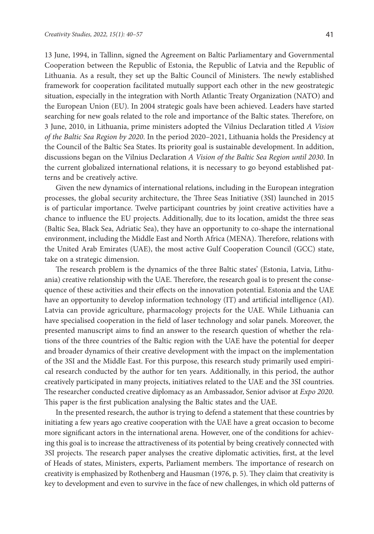13 June, 1994, in Tallinn, signed the Agreement on Baltic Parliamentary and Governmental Cooperation between the Republic of Estonia, the Republic of Latvia and the Republic of Lithuania. As a result, they set up the Baltic Council of Ministers. The newly established framework for cooperation facilitated mutually support each other in the new geostrategic situation, especially in the integration with North Atlantic Treaty Organization (NATO) and the European Union (EU). In 2004 strategic goals have been achieved. Leaders have started searching for new goals related to the role and importance of the Baltic states. Therefore, on 3 June, 2010, in Lithuania, prime ministers adopted the Vilnius Declaration titled *A Vision of the Baltic Sea Region by 2020*. In the period 2020–2021, Lithuania holds the Presidency at the Council of the Baltic Sea States. Its priority goal is sustainable development. In addition, discussions began on the Vilnius Declaration *A Vision of the Baltic Sea Region until 2030*. In the current globalized international relations, it is necessary to go beyond established patterns and be creatively active.

Given the new dynamics of international relations, including in the European integration processes, the global security architecture, the Three Seas Initiative (3SI) launched in 2015 is of particular importance. Twelve participant countries by joint creative activities have a chance to influence the EU projects. Additionally, due to its location, amidst the three seas (Baltic Sea, Black Sea, Adriatic Sea), they have an opportunity to co-shape the international environment, including the Middle East and North Africa (MENA). Therefore, relations with the United Arab Emirates (UAE), the most active Gulf Cooperation Council (GCC) state, take on a strategic dimension.

The research problem is the dynamics of the three Baltic states' (Estonia, Latvia, Lithuania) creative relationship with the UAE. Therefore, the research goal is to present the consequence of these activities and their effects on the innovation potential. Estonia and the UAE have an opportunity to develop information technology (IT) and artificial intelligence (AI). Latvia can provide agriculture, pharmacology projects for the UAE. While Lithuania can have specialised cooperation in the field of laser technology and solar panels. Moreover, the presented manuscript aims to find an answer to the research question of whether the relations of the three countries of the Baltic region with the UAE have the potential for deeper and broader dynamics of their creative development with the impact on the implementation of the 3SI and the Middle East. For this purpose, this research study primarily used empirical research conducted by the author for ten years. Additionally, in this period, the author creatively participated in many projects, initiatives related to the UAE and the 3SI countries. The researcher conducted creative diplomacy as an Ambassador, Senior advisor at *Expo 2020*. This paper is the first publication analysing the Baltic states and the UAE.

In the presented research, the author is trying to defend a statement that these countries by initiating a few years ago creative cooperation with the UAE have a great occasion to become more significant actors in the international arena. However, one of the conditions for achieving this goal is to increase the attractiveness of its potential by being creatively connected with 3SI projects. The research paper analyses the creative diplomatic activities, first, at the level of Heads of states, Ministers, experts, Parliament members. The importance of research on creativity is emphasized by Rothenberg and Hausman (1976, p. 5). They claim that creativity is key to development and even to survive in the face of new challenges, in which old patterns of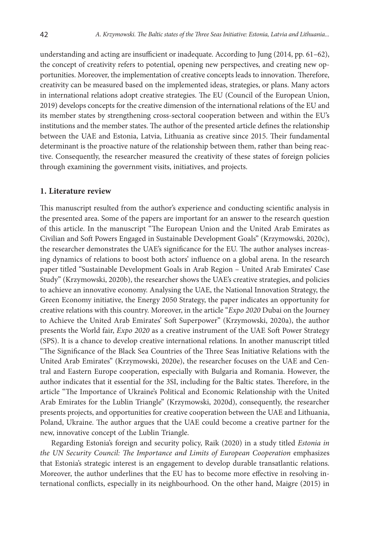understanding and acting are insufficient or inadequate. According to Jung (2014, pp. 61–62), the concept of creativity refers to potential, opening new perspectives, and creating new opportunities. Moreover, the implementation of creative concepts leads to innovation. Therefore, creativity can be measured based on the implemented ideas, strategies, or plans. Many actors in international relations adopt creative strategies. The EU (Council of the European Union, 2019) develops concepts for the creative dimension of the international relations of the EU and its member states by strengthening cross-sectoral cooperation between and within the EU's institutions and the member states. The author of the presented article defines the relationship between the UAE and Estonia, Latvia, Lithuania as creative since 2015. Their fundamental determinant is the proactive nature of the relationship between them, rather than being reactive. Consequently, the researcher measured the creativity of these states of foreign policies through examining the government visits, initiatives, and projects.

#### **1. Literature review**

This manuscript resulted from the author's experience and conducting scientific analysis in the presented area. Some of the papers are important for an answer to the research question of this article. In the manuscript "The European Union and the United Arab Emirates as Civilian and Soft Powers Engaged in Sustainable Development Goals" (Krzymowski, 2020c), the researcher demonstrates the UAE's significance for the EU. The author analyses increasing dynamics of relations to boost both actors' influence on a global arena. In the research paper titled "Sustainable Development Goals in Arab Region – United Arab Emirates' Case Study" (Krzymowski, 2020b), the researcher shows the UAE's creative strategies, and policies to achieve an innovative economy. Analysing the UAE, the National Innovation Strategy, the Green Economy initiative, the Energy 2050 Strategy, the paper indicates an opportunity for creative relations with this country. Moreover, in the article "*Expo 2020* Dubai on the Journey to Achieve the United Arab Emirates' Soft Superpower" (Krzymowski, 2020a), the author presents the World fair, *Expo 2020* as a creative instrument of the UAE Soft Power Strategy (SPS). It is a chance to develop creative international relations. In another manuscript titled "The Significance of the Black Sea Countries of the Three Seas Initiative Relations with the United Arab Emirates" (Krzymowski, 2020e), the researcher focuses on the UAE and Central and Eastern Europe cooperation, especially with Bulgaria and Romania. However, the author indicates that it essential for the 3SI, including for the Baltic states. Therefore, in the article "The Importance of Ukraine's Political and Economic Relationship with the United Arab Emirates for the Lublin Triangle" (Krzymowski, 2020d), consequently, the researcher presents projects, and opportunities for creative cooperation between the UAE and Lithuania, Poland, Ukraine. The author argues that the UAE could become a creative partner for the new, innovative concept of the Lublin Triangle.

Regarding Estonia's foreign and security policy, Raik (2020) in a study titled *Estonia in the UN Security Council: The Importance and Limits of European Cooperation* emphasizes that Estonia's strategic interest is an engagement to develop durable transatlantic relations. Moreover, the author underlines that the EU has to become more effective in resolving international conflicts, especially in its neighbourhood. On the other hand, Maigre (2015) in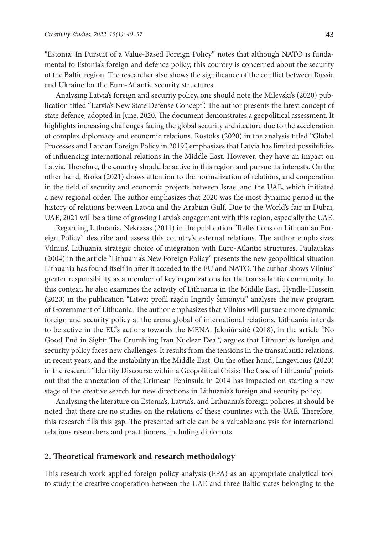"Estonia: In Pursuit of a Value-Based Foreign Policy" notes that although NATO is fundamental to Estonia's foreign and defence policy, this country is concerned about the security of the Baltic region. The researcher also shows the significance of the conflict between Russia and Ukraine for the Euro-Atlantic security structures.

Analysing Latvia's foreign and security policy, one should note the Milevski's (2020) publication titled "Latvia's New State Defense Concept". The author presents the latest concept of state defence, adopted in June, 2020. The document demonstrates a geopolitical assessment. It highlights increasing challenges facing the global security architecture due to the acceleration of complex diplomacy and economic relations. Rostoks (2020) in the analysis titled "Global Processes and Latvian Foreign Policy in 2019", emphasizes that Latvia has limited possibilities of influencing international relations in the Middle East. However, they have an impact on Latvia. Therefore, the country should be active in this region and pursue its interests. On the other hand, Broka (2021) draws attention to the normalization of relations, and cooperation in the field of security and economic projects between Israel and the UAE, which initiated a new regional order. The author emphasizes that 2020 was the most dynamic period in the history of relations between Latvia and the Arabian Gulf. Due to the World's fair in Dubai, UAE, 2021 will be a time of growing Latvia's engagement with this region, especially the UAE.

Regarding Lithuania, Nekrašas (2011) in the publication "Reflections on Lithuanian Foreign Policy" describe and assess this country's external relations. The author emphasizes Vilnius', Lithuania strategic choice of integration with Euro-Atlantic structures. Paulauskas (2004) in the article "Lithuania's New Foreign Policy" presents the new geopolitical situation Lithuania has found itself in after it acceded to the EU and NATO. The author shows Vilnius' greater responsibility as a member of key organizations for the transatlantic community. In this context, he also examines the activity of Lithuania in the Middle East. Hyndle-Hussein (2020) in the publication "Litwa: profil rządu Ingridy Šimonytė" analyses the new program of Government of Lithuania. The author emphasizes that Vilnius will pursue a more dynamic foreign and security policy at the arena global of international relations. Lithuania intends to be active in the EU's actions towards the MENA. Jakniūnaitė (2018), in the article "No Good End in Sight: The Crumbling Iran Nuclear Deal", argues that Lithuania's foreign and security policy faces new challenges. It results from the tensions in the transatlantic relations, in recent years, and the instability in the Middle East. On the other hand, Lingevicius (2020) in the research "Identity Discourse within a Geopolitical Crisis: The Case of Lithuania" points out that the annexation of the Crimean Peninsula in 2014 has impacted on starting a new stage of the creative search for new directions in Lithuania's foreign and security policy.

Analysing the literature on Estonia's, Latvia's, and Lithuania's foreign policies, it should be noted that there are no studies on the relations of these countries with the UAE. Therefore, this research fills this gap. The presented article can be a valuable analysis for international relations researchers and practitioners, including diplomats.

### **2. Theoretical framework and research methodology**

This research work applied foreign policy analysis (FPA) as an appropriate analytical tool to study the creative cooperation between the UAE and three Baltic states belonging to the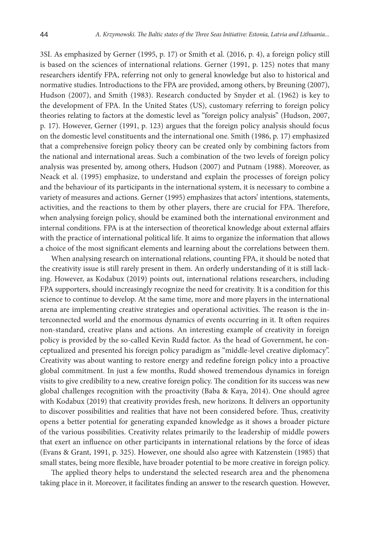3SI. As emphasized by Gerner (1995, p. 17) or Smith et al. (2016, p. 4), a foreign policy still is based on the sciences of international relations. Gerner (1991, p. 125) notes that many researchers identify FPA, referring not only to general knowledge but also to historical and normative studies. Introductions to the FPA are provided, among others, by Breuning (2007), Hudson (2007), and Smith (1983). Research conducted by Snyder et al. (1962) is key to the development of FPA. In the United States (US), customary referring to foreign policy theories relating to factors at the domestic level as "foreign policy analysis" (Hudson, 2007, p. 17). However, Gerner (1991, p. 123) argues that the foreign policy analysis should focus on the domestic level constituents and the international one. Smith (1986, p. 17) emphasized that a comprehensive foreign policy theory can be created only by combining factors from the national and international areas. Such a combination of the two levels of foreign policy analysis was presented by, among others, Hudson (2007) and Putnam (1988). Moreover, as Neack et al. (1995) emphasize, to understand and explain the processes of foreign policy and the behaviour of its participants in the international system, it is necessary to combine a variety of measures and actions. Gerner (1995) emphasizes that actors' intentions, statements, activities, and the reactions to them by other players, there are crucial for FPA. Therefore, when analysing foreign policy, should be examined both the international environment and internal conditions. FPA is at the intersection of theoretical knowledge about external affairs with the practice of international political life. It aims to organize the information that allows a choice of the most significant elements and learning about the correlations between them.

When analysing research on international relations, counting FPA, it should be noted that the creativity issue is still rarely present in them. An orderly understanding of it is still lacking. However, as Kodabux (2019) points out, international relations researchers, including FPA supporters, should increasingly recognize the need for creativity. It is a condition for this science to continue to develop. At the same time, more and more players in the international arena are implementing creative strategies and operational activities. The reason is the interconnected world and the enormous dynamics of events occurring in it. It often requires non-standard, creative plans and actions. An interesting example of creativity in foreign policy is provided by the so-called Kevin Rudd factor. As the head of Government, he conceptualized and presented his foreign policy paradigm as "middle-level creative diplomacy". Creativity was about wanting to restore energy and redefine foreign policy into a proactive global commitment. In just a few months, Rudd showed tremendous dynamics in foreign visits to give credibility to a new, creative foreign policy. The condition for its success was new global challenges recognition with the proactivity (Baba & Kaya, 2014). One should agree with Kodabux (2019) that creativity provides fresh, new horizons. It delivers an opportunity to discover possibilities and realities that have not been considered before. Thus, creativity opens a better potential for generating expanded knowledge as it shows a broader picture of the various possibilities. Creativity relates primarily to the leadership of middle powers that exert an influence on other participants in international relations by the force of ideas (Evans & Grant, 1991, p. 325). However, one should also agree with Katzenstein (1985) that small states, being more flexible, have broader potential to be more creative in foreign policy.

The applied theory helps to understand the selected research area and the phenomena taking place in it. Moreover, it facilitates finding an answer to the research question. However,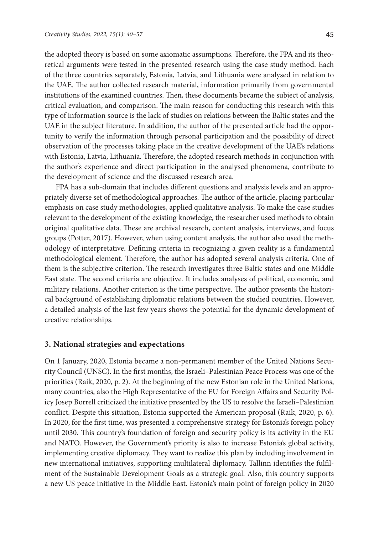the adopted theory is based on some axiomatic assumptions. Therefore, the FPA and its theoretical arguments were tested in the presented research using the case study method. Each of the three countries separately, Estonia, Latvia, and Lithuania were analysed in relation to the UAE. The author collected research material, information primarily from governmental institutions of the examined countries. Then, these documents became the subject of analysis, critical evaluation, and comparison. The main reason for conducting this research with this type of information source is the lack of studies on relations between the Baltic states and the UAE in the subject literature. In addition, the author of the presented article had the opportunity to verify the information through personal participation and the possibility of direct observation of the processes taking place in the creative development of the UAE's relations with Estonia, Latvia, Lithuania. Therefore, the adopted research methods in conjunction with the author's experience and direct participation in the analysed phenomena, contribute to the development of science and the discussed research area.

FPA has a sub-domain that includes different questions and analysis levels and an appropriately diverse set of methodological approaches. The author of the article, placing particular emphasis on case study methodologies, applied qualitative analysis. To make the case studies relevant to the development of the existing knowledge, the researcher used methods to obtain original qualitative data. These are archival research, content analysis, interviews, and focus groups (Potter, 2017). However, when using content analysis, the author also used the methodology of interpretative. Defining criteria in recognizing a given reality is a fundamental methodological element. Therefore, the author has adopted several analysis criteria. One of them is the subjective criterion. The research investigates three Baltic states and one Middle East state. The second criteria are objective. It includes analyses of political, economic, and military relations. Another criterion is the time perspective. The author presents the historical background of establishing diplomatic relations between the studied countries. However, a detailed analysis of the last few years shows the potential for the dynamic development of creative relationships.

#### **3. National strategies and expectations**

On 1 January, 2020, Estonia became a non-permanent member of the United Nations Security Council (UNSC). In the first months, the Israeli–Palestinian Peace Process was one of the priorities (Raik, 2020, p. 2). At the beginning of the new Estonian role in the United Nations, many countries, also the High Representative of the EU for Foreign Affairs and Security Policy Josep Borrell criticized the initiative presented by the US to resolve the Israeli–Palestinian conflict. Despite this situation, Estonia supported the American proposal (Raik, 2020, p. 6). In 2020, for the first time, was presented a comprehensive strategy for Estonia's foreign policy until 2030. This country's foundation of foreign and security policy is its activity in the EU and NATO. However, the Government's priority is also to increase Estonia's global activity, implementing creative diplomacy. They want to realize this plan by including involvement in new international initiatives, supporting multilateral diplomacy. Tallinn identifies the fulfilment of the Sustainable Development Goals as a strategic goal. Also, this country supports a new US peace initiative in the Middle East. Estonia's main point of foreign policy in 2020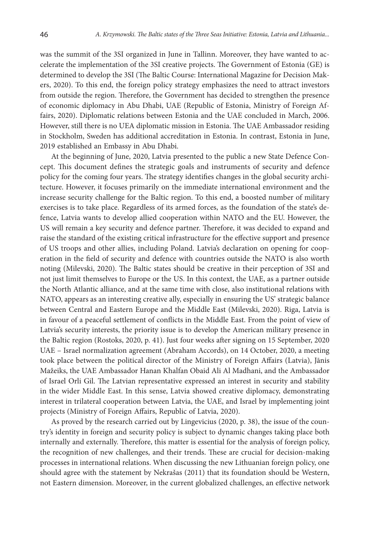was the summit of the 3SI organized in June in Tallinn. Moreover, they have wanted to accelerate the implementation of the 3SI creative projects. The Government of Estonia (GE) is determined to develop the 3SI (The Baltic Course: International Magazine for Decision Makers, 2020). To this end, the foreign policy strategy emphasizes the need to attract investors from outside the region. Therefore, the Government has decided to strengthen the presence of economic diplomacy in Abu Dhabi, UAE (Republic of Estonia, Ministry of Foreign Affairs, 2020). Diplomatic relations between Estonia and the UAE concluded in March, 2006. However, still there is no UEA diplomatic mission in Estonia. The UAE Ambassador residing in Stockholm, Sweden has additional accreditation in Estonia. In contrast, Estonia in June, 2019 established an Embassy in Abu Dhabi.

At the beginning of June, 2020, Latvia presented to the public a new State Defence Concept. This document defines the strategic goals and instruments of security and defence policy for the coming four years. The strategy identifies changes in the global security architecture. However, it focuses primarily on the immediate international environment and the increase security challenge for the Baltic region. To this end, a boosted number of military exercises is to take place. Regardless of its armed forces, as the foundation of the state's defence, Latvia wants to develop allied cooperation within NATO and the EU. However, the US will remain a key security and defence partner. Therefore, it was decided to expand and raise the standard of the existing critical infrastructure for the effective support and presence of US troops and other allies, including Poland. Latvia's declaration on opening for cooperation in the field of security and defence with countries outside the NATO is also worth noting (Milevski, 2020). The Baltic states should be creative in their perception of 3SI and not just limit themselves to Europe or the US. In this context, the UAE, as a partner outside the North Atlantic alliance, and at the same time with close, also institutional relations with NATO, appears as an interesting creative ally, especially in ensuring the US' strategic balance between Central and Eastern Europe and the Middle East (Milevski, 2020). Riga, Latvia is in favour of a peaceful settlement of conflicts in the Middle East. From the point of view of Latvia's security interests, the priority issue is to develop the American military presence in the Baltic region (Rostoks, 2020, p. 41). Just four weeks after signing on 15 September, 2020 UAE – Israel normalization agreement (Abraham Accords), on 14 October, 2020, a meeting took place between the political director of the Ministry of Foreign Affairs (Latvia), Jānis Mažeiks, the UAE Ambassador Hanan Khalfan Obaid Ali Al Madhani, and the Ambassador of Israel Orli Gil. The Latvian representative expressed an interest in security and stability in the wider Middle East. In this sense, Latvia showed creative diplomacy, demonstrating interest in trilateral cooperation between Latvia, the UAE, and Israel by implementing joint projects (Ministry of Foreign Affairs, Republic of Latvia, 2020).

As proved by the research carried out by Lingevicius (2020, p. 38), the issue of the country's identity in foreign and security policy is subject to dynamic changes taking place both internally and externally. Therefore, this matter is essential for the analysis of foreign policy, the recognition of new challenges, and their trends. These are crucial for decision-making processes in international relations. When discussing the new Lithuanian foreign policy, one should agree with the statement by Nekrašas (2011) that its foundation should be Western, not Eastern dimension. Moreover, in the current globalized challenges, an effective network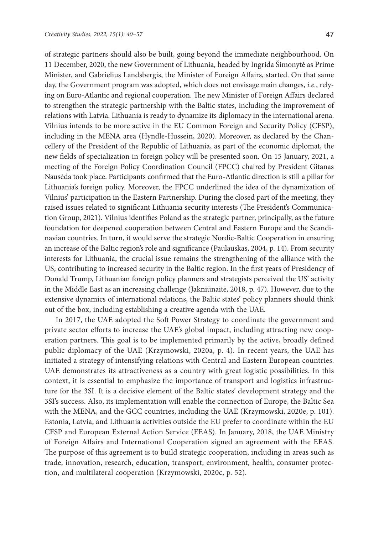of strategic partners should also be built, going beyond the immediate neighbourhood. On 11 December, 2020, the new Government of Lithuania, headed by Ingrida Šimonytė as Prime Minister, and Gabrielius Landsbergis, the Minister of Foreign Affairs, started. On that same day, the Government program was adopted, which does not envisage main changes, *i.e.*, relying on Euro-Atlantic and regional cooperation. The new Minister of Foreign Affairs declared to strengthen the strategic partnership with the Baltic states, including the improvement of relations with Latvia. Lithuania is ready to dynamize its diplomacy in the international arena. Vilnius intends to be more active in the EU Common Foreign and Security Policy (CFSP), including in the MENA area (Hyndle-Hussein, 2020). Moreover, as declared by the Chancellery of the President of the Republic of Lithuania, as part of the economic diplomat, the new fields of specialization in foreign policy will be presented soon. On 15 January, 2021, a meeting of the Foreign Policy Coordination Council (FPCC) chaired by President Gitanas Nausėda took place. Participants confirmed that the Euro-Atlantic direction is still a pillar for Lithuania's foreign policy. Moreover, the FPCC underlined the idea of the dynamization of Vilnius' participation in the Eastern Partnership. During the closed part of the meeting, they raised issues related to significant Lithuania security interests (The President's Communication Group, 2021). Vilnius identifies Poland as the strategic partner, principally, as the future foundation for deepened cooperation between Central and Eastern Europe and the Scandinavian countries. In turn, it would serve the strategic Nordic-Baltic Cooperation in ensuring an increase of the Baltic region's role and significance (Paulauskas, 2004, p. 14). From security interests for Lithuania, the crucial issue remains the strengthening of the alliance with the US, contributing to increased security in the Baltic region. In the first years of Presidency of Donald Trump, Lithuanian foreign policy planners and strategists perceived the US' activity in the Middle East as an increasing challenge (Jakniūnaitė, 2018, p. 47). However, due to the extensive dynamics of international relations, the Baltic states' policy planners should think out of the box, including establishing a creative agenda with the UAE.

In 2017, the UAE adopted the Soft Power Strategy to coordinate the government and private sector efforts to increase the UAE's global impact, including attracting new cooperation partners. This goal is to be implemented primarily by the active, broadly defined public diplomacy of the UAE (Krzymowski, 2020a, p. 4). In recent years, the UAE has initiated a strategy of intensifying relations with Central and Eastern European countries. UAE demonstrates its attractiveness as a country with great logistic possibilities. In this context, it is essential to emphasize the importance of transport and logistics infrastructure for the 3SI. It is a decisive element of the Baltic states' development strategy and the 3SI's success. Also, its implementation will enable the connection of Europe, the Baltic Sea with the MENA, and the GCC countries, including the UAE (Krzymowski, 2020e, p. 101). Estonia, Latvia, and Lithuania activities outside the EU prefer to coordinate within the EU CFSP and European External Action Service (EEAS). In January, 2018, the UAE Ministry of Foreign Affairs and International Cooperation signed an agreement with the EEAS. The purpose of this agreement is to build strategic cooperation, including in areas such as trade, innovation, research, education, transport, environment, health, consumer protection, and multilateral cooperation (Krzymowski, 2020c, p. 52).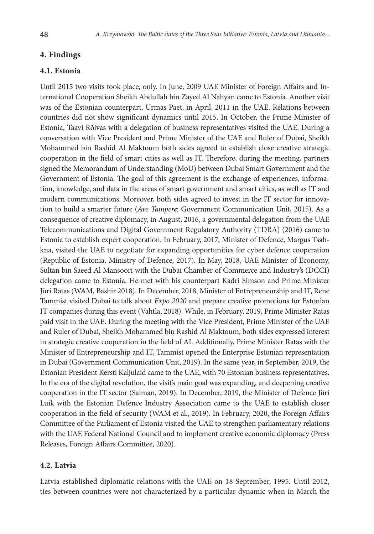## **4. Findings**

## **4.1. Estonia**

Until 2015 two visits took place, only. In June, 2009 UAE Minister of Foreign Affairs and International Cooperation Sheikh Abdullah bin Zayed Al Nahyan came to Estonia. Another visit was of the Estonian counterpart, Urmas Paet, in April, 2011 in the UAE. Relations between countries did not show significant dynamics until 2015. In October, the Prime Minister of Estonia, Taavi Rõivas with a delegation of business representatives visited the UAE. During a conversation with Vice President and Prime Minister of the UAE and Ruler of Dubai, Sheikh Mohammed bin Rashid Al Maktoum both sides agreed to establish close creative strategic cooperation in the field of smart cities as well as IT. Therefore, during the meeting, partners signed the Memorandum of Understanding (MoU) between Dubai Smart Government and the Government of Estonia. The goal of this agreement is the exchange of experiences, information, knowledge, and data in the areas of smart government and smart cities, as well as IT and modern communications. Moreover, both sides agreed to invest in the IT sector for innovation to build a smarter future (*Ave Tampere*: Government Communication Unit, 2015). As a consequence of creative diplomacy, in August, 2016, a governmental delegation from the UAE Telecommunications and Digital Government Regulatory Authority (TDRA) (2016) came to Estonia to establish expert cooperation. In February, 2017, Minister of Defence, Margus Tsahkna, visited the UAE to negotiate for expanding opportunities for cyber defence cooperation (Republic of Estonia, Ministry of Defence, 2017). In May, 2018, UAE Minister of Economy, Sultan bin Saeed Al Mansoori with the Dubai Chamber of Commerce and Industry's (DCCI) delegation came to Estonia. He met with his counterpart Kadri Simson and Prime Minister Jüri Ratas (WAM, Bashir 2018). In December, 2018, Minister of Entrepreneurship and IT, Rene Tammist visited Dubai to talk about *Expo 2020* and prepare creative promotions for Estonian IT companies during this event (Vahtla, 2018). While, in February, 2019, Prime Minister Ratas paid visit in the UAE. During the meeting with the Vice President, Prime Minister of the UAE and Ruler of Dubai, Sheikh Mohammed bin Rashid Al Maktoum, both sides expressed interest in strategic creative cooperation in the field of AI. Additionally, Prime Minister Ratas with the Minister of Entrepreneurship and IT, Tammist opened the Enterprise Estonian representation in Dubai (Government Communication Unit, 2019). In the same year, in September, 2019, the Estonian President Kersti Kaljulaid came to the UAE, with 70 Estonian business representatives. In the era of the digital revolution, the visit's main goal was expanding, and deepening creative cooperation in the IT sector (Salman, 2019). In December, 2019, the Minister of Defence Jüri Luik with the Estonian Defence Industry Association came to the UAE to establish closer cooperation in the field of security (WAM et al., 2019). In February, 2020, the Foreign Affairs Committee of the Parliament of Estonia visited the UAE to strengthen parliamentary relations with the UAE Federal National Council and to implement creative economic diplomacy (Press Releases, Foreign Affairs Committee, 2020).

## **4.2. Latvia**

Latvia established diplomatic relations with the UAE on 18 September, 1995. Until 2012, ties between countries were not characterized by a particular dynamic when in March the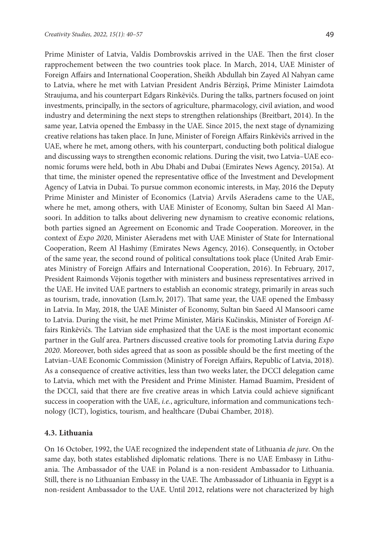Prime Minister of Latvia, Valdis Dombrovskis arrived in the UAE. Then the first closer rapprochement between the two countries took place. In March, 2014, UAE Minister of Foreign Affairs and International Cooperation, Sheikh Abdullah bin Zayed Al Nahyan came to Latvia, where he met with Latvian President Andris Bērziņš, Prime Minister Laimdota Straujuma, and his counterpart Edgars Rinkēvičs. During the talks, partners focused on joint investments, principally, in the sectors of agriculture, pharmacology, civil aviation, and wood industry and determining the next steps to strengthen relationships (Breitbart, 2014). In the same year, Latvia opened the Embassy in the UAE. Since 2015, the next stage of dynamizing creative relations has taken place. In June, Minister of Foreign Affairs Rinkēvičs arrived in the UAE, where he met, among others, with his counterpart, conducting both political dialogue and discussing ways to strengthen economic relations. During the visit, two Latvia–UAE economic forums were held, both in Abu Dhabi and Dubai (Emirates News Agency, 2015a). At that time, the minister opened the representative office of the Investment and Development Agency of Latvia in Dubai. To pursue common economic interests, in May, 2016 the Deputy Prime Minister and Minister of Economics (Latvia) Arvils Ašeradens came to the UAE, where he met, among others, with UAE Minister of Economy, Sultan bin Saeed Al Mansoori. In addition to talks about delivering new dynamism to creative economic relations, both parties signed an Agreement on Economic and Trade Cooperation. Moreover, in the context of *Expo 2020*, Minister Ašeradens met with UAE Minister of State for International Cooperation, Reem Al Hashimy (Emirates News Agency, 2016). Consequently, in October of the same year, the second round of political consultations took place (United Arab Emirates Ministry of Foreign Affairs and International Cooperation, 2016). In February, 2017, President Raimonds Vējonis together with ministers and business representatives arrived in the UAE. He invited UAE partners to establish an economic strategy, primarily in areas such as tourism, trade, innovation (Lsm.lv, 2017). That same year, the UAE opened the Embassy in Latvia. In May, 2018, the UAE Minister of Economy, Sultan bin Saeed Al Mansoori came to Latvia. During the visit, he met Prime Minister, Māris Kučinskis, Minister of Foreign Affairs Rinkēvičs. The Latvian side emphasized that the UAE is the most important economic partner in the Gulf area. Partners discussed creative tools for promoting Latvia during *Expo 2020*. Moreover, both sides agreed that as soon as possible should be the first meeting of the Latvian–UAE Economic Commission (Ministry of Foreign Affairs, Republic of Latvia, 2018). As a consequence of creative activities, less than two weeks later, the DCCI delegation came to Latvia, which met with the President and Prime Minister. Hamad Buamim, President of the DCCI, said that there are five creative areas in which Latvia could achieve significant success in cooperation with the UAE, *i.e.*, agriculture, information and communications technology (ICT), logistics, tourism, and healthcare (Dubai Chamber, 2018).

#### **4.3. Lithuania**

On 16 October, 1992, the UAE recognized the independent state of Lithuania *de jure*. On the same day, both states established diplomatic relations. There is no UAE Embassy in Lithuania. The Ambassador of the UAE in Poland is a non-resident Ambassador to Lithuania. Still, there is no Lithuanian Embassy in the UAE. The Ambassador of Lithuania in Egypt is a non-resident Ambassador to the UAE. Until 2012, relations were not characterized by high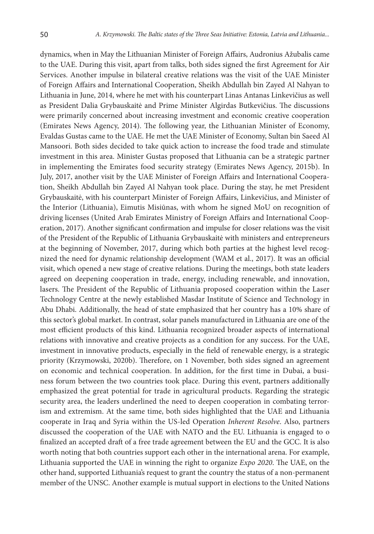dynamics, when in May the Lithuanian Minister of Foreign Affairs, Audronius Ažubalis came to the UAE. During this visit, apart from talks, both sides signed the first Agreement for Air Services. Another impulse in bilateral creative relations was the visit of the UAE Minister of Foreign Affairs and International Cooperation, Sheikh Abdullah bin Zayed Al Nahyan to Lithuania in June, 2014, where he met with his counterpart Linas Antanas Linkevičius as well as President Dalia Grybauskaitė and Prime Minister Algirdas Butkevičius. The discussions were primarily concerned about increasing investment and economic creative cooperation (Emirates News Agency, 2014). The following year, the Lithuanian Minister of Economy, Evaldas Gustas came to the UAE. He met the UAE Minister of Economy, Sultan bin Saeed Al Mansoori. Both sides decided to take quick action to increase the food trade and stimulate investment in this area. Minister Gustas proposed that Lithuania can be a strategic partner in implementing the Emirates food security strategy (Emirates News Agency, 2015b). In July, 2017, another visit by the UAE Minister of Foreign Affairs and International Cooperation, Sheikh Abdullah bin Zayed Al Nahyan took place. During the stay, he met President Grybauskaitė, with his counterpart Minister of Foreign Affairs, Linkevičius, and Minister of the Interior (Lithuania), Eimutis Misiūnas, with whom he signed MoU on recognition of driving licenses (United Arab Emirates Ministry of Foreign Affairs and International Cooperation, 2017). Another significant confirmation and impulse for closer relations was the visit of the President of the Republic of Lithuania Grybauskaitė with ministers and entrepreneurs at the beginning of November, 2017, during which both parties at the highest level recognized the need for dynamic relationship development (WAM et al., 2017). It was an official visit, which opened a new stage of creative relations. During the meetings, both state leaders agreed on deepening cooperation in trade, energy, including renewable, and innovation, lasers. The President of the Republic of Lithuania proposed cooperation within the Laser Technology Centre at the newly established Masdar Institute of Science and Technology in Abu Dhabi. Additionally, the head of state emphasized that her country has a 10% share of this sector's global market. In contrast, solar panels manufactured in Lithuania are one of the most efficient products of this kind. Lithuania recognized broader aspects of international relations with innovative and creative projects as a condition for any success. For the UAE, investment in innovative products, especially in the field of renewable energy, is a strategic priority (Krzymowski, 2020b). Therefore, on 1 November, both sides signed an agreement on economic and technical cooperation. In addition, for the first time in Dubai, a business forum between the two countries took place. During this event, partners additionally emphasized the great potential for trade in agricultural products. Regarding the strategic security area, the leaders underlined the need to deepen cooperation in combating terrorism and extremism. At the same time, both sides highlighted that the UAE and Lithuania cooperate in Iraq and Syria within the US-led Operation *Inherent Resolve*. Also, partners discussed the cooperation of the UAE with NATO and the EU. Lithuania is engaged to o finalized an accepted draft of a free trade agreement between the EU and the GCC. It is also worth noting that both countries support each other in the international arena. For example, Lithuania supported the UAE in winning the right to organize *Expo 2020*. The UAE, on the other hand, supported Lithuania's request to grant the country the status of a non-permanent member of the UNSC. Another example is mutual support in elections to the United Nations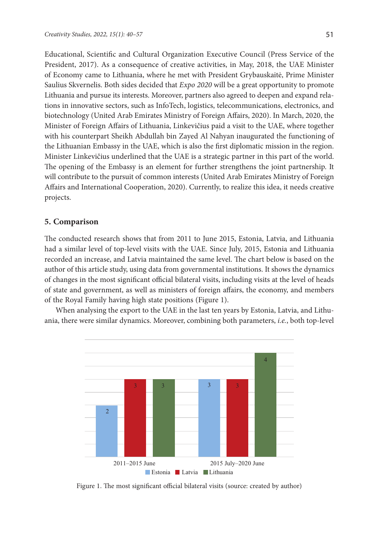Educational, Scientific and Cultural Organization Executive Council (Press Service of the President, 2017). As a consequence of creative activities, in May, 2018, the UAE Minister of Economy came to Lithuania, where he met with President Grybauskaitė, Prime Minister Saulius Skvernelis. Both sides decided that *Expo 2020* will be a great opportunity to promote Lithuania and pursue its interests. Moreover, partners also agreed to deepen and expand relations in innovative sectors, such as InfoTech, logistics, telecommunications, electronics, and biotechnology (United Arab Emirates Ministry of Foreign Affairs, 2020). In March, 2020, the Minister of Foreign Affairs of Lithuania, Linkevičius paid a visit to the UAE, where together with his counterpart Sheikh Abdullah bin Zayed Al Nahyan inaugurated the functioning of the Lithuanian Embassy in the UAE, which is also the first diplomatic mission in the region. Minister Linkevičius underlined that the UAE is a strategic partner in this part of the world. The opening of the Embassy is an element for further strengthens the joint partnership. It will contribute to the pursuit of common interests (United Arab Emirates Ministry of Foreign Affairs and International Cooperation, 2020). Currently, to realize this idea, it needs creative projects.

## **5. Comparison**

The conducted research shows that from 2011 to June 2015, Estonia, Latvia, and Lithuania had a similar level of top-level visits with the UAE. Since July, 2015, Estonia and Lithuania recorded an increase, and Latvia maintained the same level. The chart below is based on the author of this article study, using data from governmental institutions. It shows the dynamics of changes in the most significant official bilateral visits, including visits at the level of heads of state and government, as well as ministers of foreign affairs, the economy, and members of the Royal Family having high state positions (Figure 1).

When analysing the export to the UAE in the last ten years by Estonia, Latvia, and Lithuania, there were similar dynamics. Moreover, combining both parameters, *i.e.*, both top-level



Figure 1. The most significant official bilateral visits (source: created by author)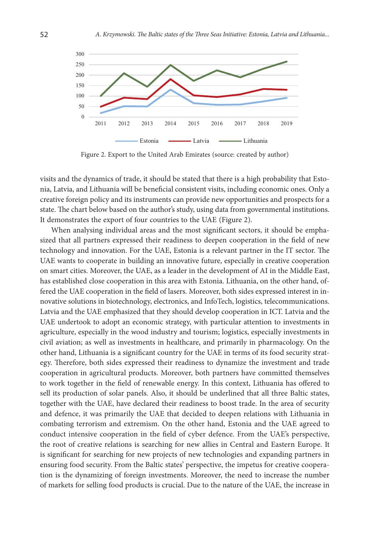

Figure 2. Export to the United Arab Emirates (source: created by author)

visits and the dynamics of trade, it should be stated that there is a high probability that Estonia, Latvia, and Lithuania will be beneficial consistent visits, including economic ones. Only a creative foreign policy and its instruments can provide new opportunities and prospects for a state. The chart below based on the author's study, using data from governmental institutions. It demonstrates the export of four countries to the UAE (Figure 2).

When analysing individual areas and the most significant sectors, it should be emphasized that all partners expressed their readiness to deepen cooperation in the field of new technology and innovation. For the UAE, Estonia is a relevant partner in the IT sector. The UAE wants to cooperate in building an innovative future, especially in creative cooperation on smart cities. Moreover, the UAE, as a leader in the development of AI in the Middle East, has established close cooperation in this area with Estonia. Lithuania, on the other hand, offered the UAE cooperation in the field of lasers. Moreover, both sides expressed interest in innovative solutions in biotechnology, electronics, and InfoTech, logistics, telecommunications. Latvia and the UAE emphasized that they should develop cooperation in ICT. Latvia and the UAE undertook to adopt an economic strategy, with particular attention to investments in agriculture, especially in the wood industry and tourism; logistics, especially investments in civil aviation; as well as investments in healthcare, and primarily in pharmacology. On the other hand, Lithuania is a significant country for the UAE in terms of its food security strategy. Therefore, both sides expressed their readiness to dynamize the investment and trade cooperation in agricultural products. Moreover, both partners have committed themselves to work together in the field of renewable energy. In this context, Lithuania has offered to sell its production of solar panels. Also, it should be underlined that all three Baltic states, together with the UAE, have declared their readiness to boost trade. In the area of security and defence, it was primarily the UAE that decided to deepen relations with Lithuania in combating terrorism and extremism. On the other hand, Estonia and the UAE agreed to conduct intensive cooperation in the field of cyber defence. From the UAE's perspective, the root of creative relations is searching for new allies in Central and Eastern Europe. It is significant for searching for new projects of new technologies and expanding partners in ensuring food security. From the Baltic states' perspective, the impetus for creative cooperation is the dynamizing of foreign investments. Moreover, the need to increase the number of markets for selling food products is crucial. Due to the nature of the UAE, the increase in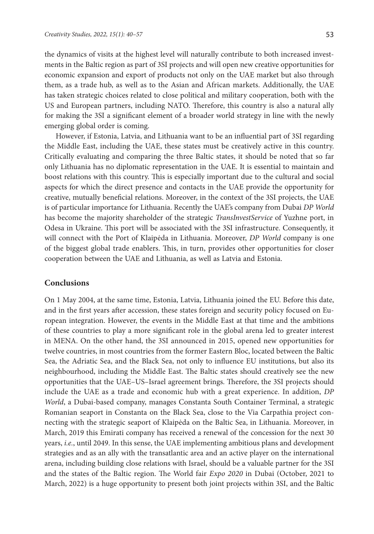the dynamics of visits at the highest level will naturally contribute to both increased investments in the Baltic region as part of 3SI projects and will open new creative opportunities for economic expansion and export of products not only on the UAE market but also through them, as a trade hub, as well as to the Asian and African markets. Additionally, the UAE has taken strategic choices related to close political and military cooperation, both with the US and European partners, including NATO. Therefore, this country is also a natural ally for making the 3SI a significant element of a broader world strategy in line with the newly emerging global order is coming.

However, if Estonia, Latvia, and Lithuania want to be an influential part of 3SI regarding the Middle East, including the UAE, these states must be creatively active in this country. Critically evaluating and comparing the three Baltic states, it should be noted that so far only Lithuania has no diplomatic representation in the UAE. It is essential to maintain and boost relations with this country. This is especially important due to the cultural and social aspects for which the direct presence and contacts in the UAE provide the opportunity for creative, mutually beneficial relations. Moreover, in the context of the 3SI projects, the UAE is of particular importance for Lithuania. Recently the UAE's company from Dubai *DP World* has become the majority shareholder of the strategic *TransInvestService* of Yuzhne port, in Odesa in Ukraine. This port will be associated with the 3SI infrastructure. Consequently, it will connect with the Port of Klaipėda in Lithuania. Moreover, *DP World* company is one of the biggest global trade enablers. This, in turn, provides other opportunities for closer cooperation between the UAE and Lithuania, as well as Latvia and Estonia.

## **Conclusions**

On 1 May 2004, at the same time, Estonia, Latvia, Lithuania joined the EU. Before this date, and in the first years after accession, these states foreign and security policy focused on European integration. However, the events in the Middle East at that time and the ambitions of these countries to play a more significant role in the global arena led to greater interest in MENA. On the other hand, the 3SI announced in 2015, opened new opportunities for twelve countries, in most countries from the former Eastern Bloc, located between the Baltic Sea, the Adriatic Sea, and the Black Sea, not only to influence EU institutions, but also its neighbourhood, including the Middle East. The Baltic states should creatively see the new opportunities that the UAE–US–Israel agreement brings. Therefore, the 3SI projects should include the UAE as a trade and economic hub with a great experience. In addition, *DP World*, a Dubai-based company, manages Constanta South Container Terminal, a strategic Romanian seaport in Constanta on the Black Sea, close to the Via Carpathia project connecting with the strategic seaport of Klaipėda on the Baltic Sea, in Lithuania. Moreover, in March, 2019 this Emirati company has received a renewal of the concession for the next 30 years, *i.e.*, until 2049. In this sense, the UAE implementing ambitious plans and development strategies and as an ally with the transatlantic area and an active player on the international arena, including building close relations with Israel, should be a valuable partner for the 3SI and the states of the Baltic region. The World fair *Expo 2020* in Dubai (October, 2021 to March, 2022) is a huge opportunity to present both joint projects within 3SI, and the Baltic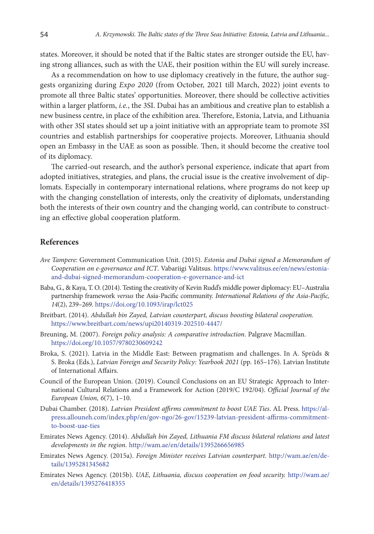states. Moreover, it should be noted that if the Baltic states are stronger outside the EU, having strong alliances, such as with the UAE, their position within the EU will surely increase.

As a recommendation on how to use diplomacy creatively in the future, the author suggests organizing during *Expo 2020* (from October, 2021 till March, 2022) joint events to promote all three Baltic states' opportunities. Moreover, there should be collective activities within a larger platform, *i.e.*, the 3SI. Dubai has an ambitious and creative plan to establish a new business centre, in place of the exhibition area. Therefore, Estonia, Latvia, and Lithuania with other 3SI states should set up a joint initiative with an appropriate team to promote 3SI countries and establish partnerships for cooperative projects. Moreover, Lithuania should open an Embassy in the UAE as soon as possible. Then, it should become the creative tool of its diplomacy.

The carried-out research, and the author's personal experience, indicate that apart from adopted initiatives, strategies, and plans, the crucial issue is the creative involvement of diplomats. Especially in contemporary international relations, where programs do not keep up with the changing constellation of interests, only the creativity of diplomats, understanding both the interests of their own country and the changing world, can contribute to constructing an effective global cooperation platform.

#### **References**

- *Ave Tampere*: Government Communication Unit. (2015). *Estonia and Dubai signed a Memorandum of Cooperation on e-governance and ICT*. Vabariigi Valitsus. [https://www.valitsus.ee/en/news/estonia](https://www.valitsus.ee/en/news/estonia-and-dubai-signed-memorandum-cooperation-e-governance-and-ict)[and-dubai-signed-memorandum-cooperation-e-governance-and-ict](https://www.valitsus.ee/en/news/estonia-and-dubai-signed-memorandum-cooperation-e-governance-and-ict)
- Baba, G., & Kaya, T. O. (2014). Testing the creativity of Kevin Rudd's middle power diplomacy: EU–Australia partnership framework *versus* the Asia-Pacific community. *International Relations of the Asia-Pacific, 14*(2), 239–269. <https://doi.org/10.1093/irap/lct025>
- Breitbart. (2014). *Abdullah bin Zayed, Latvian counterpart, discuss boosting bilateral cooperation.*  <https://www.breitbart.com/news/upi20140319-202510-4447/>
- Breuning, M. (2007). *Foreign policy analysis: A comparative introduction*. Palgrave Macmillan. <https://doi.org/10.1057/9780230609242>
- Broka, S. (2021). Latvia in the Middle East: Between pragmatism and challenges. In A. Sprūds & S. Broka (Eds.), *Latvian Foreign and Security Policy: Yearbook 2021* (pp. 165–176). Latvian Institute of International Affairs.
- Council of the European Union. (2019). Council Conclusions on an EU Strategic Approach to International Cultural Relations and a Framework for Action (2019/C 192/04). *Official Journal of the European Union, 6*(7), 1–10.
- Dubai Chamber. (2018). *Latvian President affirms commitment to boost UAE Ties*. AL Press. [https://al](https://al-press.allouneh.com/index.php/en/gov-ngo/26-gov/15239-latvian-president-affirms-commitment-to-boost-uae-ties)[press.allouneh.com/index.php/en/gov-ngo/26-gov/15239-latvian-president-affirms-commitment](https://al-press.allouneh.com/index.php/en/gov-ngo/26-gov/15239-latvian-president-affirms-commitment-to-boost-uae-ties)[to-boost-uae-ties](https://al-press.allouneh.com/index.php/en/gov-ngo/26-gov/15239-latvian-president-affirms-commitment-to-boost-uae-ties)
- Emirates News Agency. (2014). *Abdullah bin Zayed, Lithuania FM discuss bilateral relations and latest developments in the region.* <http://wam.ae/en/details/1395266656985>
- Emirates News Agency. (2015a). *Foreign Minister receives Latvian counterpart.* [http://wam.ae/en/de](http://wam.ae/en/details/1395281345682 )[tails/1395281345682](http://wam.ae/en/details/1395281345682 )
- Emirates News Agency. (2015b). *UAE, Lithuania, discuss cooperation on food security.* [http://wam.ae/](http://wam.ae/en/details/1395276418355 ) [en/details/1395276418355](http://wam.ae/en/details/1395276418355 )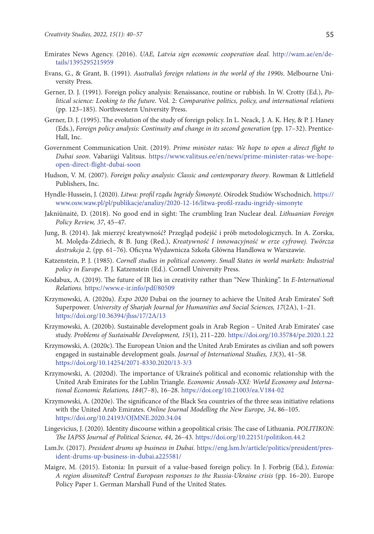- Emirates News Agency. (2016). *UAE, Latvia sign economic cooperation deal.* [http://wam.ae/en/de](http://wam.ae/en/details/1395295215959 )[tails/1395295215959](http://wam.ae/en/details/1395295215959 )
- Evans, G., & Grant, B. (1991). *Australia's foreign relations in the world of the 1990s*. Melbourne University Press.
- Gerner, D. J. (1991). Foreign policy analysis: Renaissance, routine or rubbish. In W. Crotty (Ed.), *Political science: Looking to the future*. Vol. 2: *Comparative politics, policy, and international relations*  (pp. 123–185). Northwestern University Press.
- Gerner, D. J. (1995). The evolution of the study of foreign policy. In L. Neack, J. A. K. Hey, & P. J. Haney (Eds.), *Foreign policy analysis: Continuity and change in its second generation* (pp. 17–32). Prentice-Hall, Inc.
- Government Communication Unit. (2019). *Prime minister ratas: We hope to open a direct flight to Dubai soon*. Vabariigi Valitsus. [https://www.valitsus.ee/en/news/prime-minister-ratas-we-hope](https://www.valitsus.ee/en/news/prime-minister-ratas-we-hope-open-direct-flight-dubai-soon)[open-direct-flight-dubai-soon](https://www.valitsus.ee/en/news/prime-minister-ratas-we-hope-open-direct-flight-dubai-soon)
- Hudson, V. M. (2007). *Foreign policy analysis: Classic and contemporary theory*. Rowman & Littlefield Publishers, Inc.
- Hyndle-Hussein, J. (2020). *Litwa: profil rządu Ingridy Šimonytė*. Ośrodek Studiów Wschodnich. [https://](https://www.osw.waw.pl/pl/publikacje/analizy/2020-12-16/litwa-profil-rzadu-ingridy-simonyte ) [www.osw.waw.pl/pl/publikacje/analizy/2020-12-16/litwa-profil-rzadu-ingridy-simonyte](https://www.osw.waw.pl/pl/publikacje/analizy/2020-12-16/litwa-profil-rzadu-ingridy-simonyte )
- Jakniūnaitė, D. (2018). No good end in sight: The crumbling Iran Nuclear deal. *Lithuanian Foreign Policy Review, 37*, 45–47.
- Jung, B. (2014). Jak mierzyć kreatywność? Przegląd podejść i prób metodologicznych. In A. Zorska, M. Molęda-Zdziech, & B. Jung (Red.), *Kreatywność I innowacyjność w erze cyfrowej. Twórcza destrukcja 2,* (pp. 61–76). Oficyna Wydawnicza Szkoła Główna Handlowa w Warszawie.
- Katzenstein, P. J. (1985). *Cornell studies in political economy*. *Small States in world markets: Industrial policy in Europe*. P. J. Katzenstein (Ed.). Cornell University Press.
- Kodabux, A. (2019). The future of IR lies in creativity rather than "New Thinking". In *E-International Relations.* <https://www.e-ir.info/pdf/80509>
- Krzymowski, A. (2020a). *Expo 2020* Dubai on the journey to achieve the United Arab Emirates' Soft Superpower. *University of Sharjah Journal for Humanities and Social Sciences, 17*(2A), 1–21. <https://doi.org/10.36394/jhss/17/2A/13>
- Krzymowski, A. (2020b). Sustainable development goals in Arab Region United Arab Emirates' case study. *Problems of Sustainable Development, 15*(1), 211–220. <https://doi.org/10.35784/pe.2020.1.22>
- Krzymowski, A. (2020c). The European Union and the United Arab Emirates as civilian and soft powers engaged in sustainable development goals. *Journal of International Studies, 13*(3), 41–58. <https://doi.org/10.14254/2071-8330.2020/13-3/3>
- Krzymowski, A. (2020d). The importance of Ukraine's political and economic relationship with the United Arab Emirates for the Lublin Triangle. *Economic Annals-XXI: World Economy and International Economic Relations, 184*(7–8), 16–28. <https://doi.org/10.21003/ea.V184-02>
- Krzymowski, A. (2020e). The significance of the Black Sea countries of the three seas initiative relations with the United Arab Emirates. *Online Journal Modelling the New Europe, 34*, 86–105. <https://doi.org/10.24193/OJMNE.2020.34.04>
- Lingevicius, J. (2020). Identity discourse within a geopolitical crisis: The case of Lithuania. *POLITIKON: The IAPSS Journal of Political Science, 44*, 26–43. <https://doi.org/10.22151/politikon.44.2>
- Lsm.lv. (2017). *President drums up business in Dubai.* [https://eng.lsm.lv/article/politics/president/pres](https://eng.lsm.lv/article/politics/president/president-drums-up-business-in-dubai.a225581/)[ident-drums-up-business-in-dubai.a225581/](https://eng.lsm.lv/article/politics/president/president-drums-up-business-in-dubai.a225581/)
- Maigre, M. (2015). Estonia: In pursuit of a value-based foreign policy. In J. Forbrig (Ed.), *Estonia: A region disunited? Central European responses to the Russia-Ukraine crisis* (pp. 16–20). Europe Policy Paper 1. German Marshall Fund of the United States.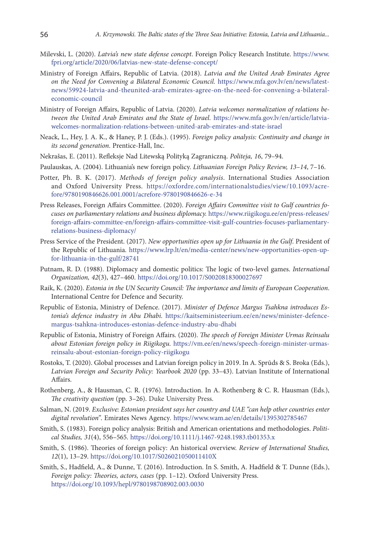- Milevski, L. (2020). *Latvia's new state defense concept*. Foreign Policy Research Institute. [https://www.](https://www.fpri.org/article/2020/06/latvias-new-state-defense-concept/ ) [fpri.org/article/2020/06/latvias-new-state-defense-concept/](https://www.fpri.org/article/2020/06/latvias-new-state-defense-concept/ )
- Ministry of Foreign Affairs, Republic of Latvia. (2018). *Latvia and the United Arab Emirates Agree on the Need for Convening a Bilateral Economic Council.* [https://www.mfa.gov.lv/en/news/latest](https://www.mfa.gov.lv/en/news/latest-news/59924-latvia-and-theunited-arab-emirates-agree-on-the-need-for-convening-a-bilateral-economic-council)[news/59924-latvia-and-theunited-arab-emirates-agree-on-the-need-for-convening-a-bilateral](https://www.mfa.gov.lv/en/news/latest-news/59924-latvia-and-theunited-arab-emirates-agree-on-the-need-for-convening-a-bilateral-economic-council)[economic-council](https://www.mfa.gov.lv/en/news/latest-news/59924-latvia-and-theunited-arab-emirates-agree-on-the-need-for-convening-a-bilateral-economic-council)
- Ministry of Foreign Affairs, Republic of Latvia. (2020). *Latvia welcomes normalization of relations between the United Arab Emirates and the State of Israel.* [https://www.mfa.gov.lv/en/article/latvia](https://www.mfa.gov.lv/en/article/latvia-welcomes-normalization-relations-between-united-arab-emirates-and-state-israel)[welcomes-normalization-relations-between-united-arab-emirates-and-state-israel](https://www.mfa.gov.lv/en/article/latvia-welcomes-normalization-relations-between-united-arab-emirates-and-state-israel)
- Neack, L., Hey, J. A. K., & Haney, P. J. (Eds.). (1995). *Foreign policy analysis: Continuity and change in its second generation*. Prentice-Hall, Inc.
- Nekrašas, E. (2011). Refleksje Nad Litewską Polityką Zagraniczną. *Politeja, 16*, 79–94.
- Paulauskas, A. (2004). Lithuania's new foreign policy. *Lithuanian Foreign Policy Review, 13–14*, 7–16.
- Potter, Ph. B. K. (2017). *Methods of foreign policy analysis*. International Studies Association and Oxford University Press. [https://oxfordre.com/internationalstudies/view/10.1093/acre](https://oxfordre.com/internationalstudies/view/10.1093/acrefore/9780190846626.001.0001/acrefore-9780190846626-e-34 )[fore/9780190846626.001.0001/acrefore-9780190846626-e-34](https://oxfordre.com/internationalstudies/view/10.1093/acrefore/9780190846626.001.0001/acrefore-9780190846626-e-34 )
- Press Releases, Foreign Affairs Committee. (2020). *Foreign Affairs Committee visit to Gulf countries focuses on parliamentary relations and business diplomacy.* [https://www.riigikogu.ee/en/press-releases/](https://www.riigikogu.ee/en/press-releases/foreign-affairs-committee-en/foreign-affairs-committee-visit-gulf-countries-focuses-parliamentary-relations-business-diplomacy/) [foreign-affairs-committee-en/foreign-affairs-committee-visit-gulf-countries-focuses-parliamentary](https://www.riigikogu.ee/en/press-releases/foreign-affairs-committee-en/foreign-affairs-committee-visit-gulf-countries-focuses-parliamentary-relations-business-diplomacy/)[relations-business-diplomacy/](https://www.riigikogu.ee/en/press-releases/foreign-affairs-committee-en/foreign-affairs-committee-visit-gulf-countries-focuses-parliamentary-relations-business-diplomacy/)
- Press Service of the President. (2017). *New opportunities open up for Lithuania in the Gulf*. President of the Republic of Lithuania*.* [https://www.lrp.lt/en/media-center/news/new-opportunities-open-up](https://www.lrp.lt/en/media-center/news/new-opportunities-open-up-for-lithuania-in-the-gulf/28741)[for-lithuania-in-the-gulf/28741](https://www.lrp.lt/en/media-center/news/new-opportunities-open-up-for-lithuania-in-the-gulf/28741)
- Putnam, R. D. (1988). Diplomacy and domestic politics: The logic of two-level games. *International Organization, 42*(3), 427–460. <https://doi.org/10.1017/S0020818300027697>
- Raik, K. (2020). *Estonia in the UN Security Council: The importance and limits of European Cooperation*. International Centre for Defence and Security.
- Republic of Estonia, Ministry of Defence. (2017). *Minister of Defence Margus Tsahkna introduces Estonia's defence industry in Abu Dhabi.* [https://kaitseministeerium.ee/en/news/minister-defence](https://kaitseministeerium.ee/en/news/minister-defence-margus-tsahkna-introduces-estonias-defence-industry-abu-dhabi)[margus-tsahkna-introduces-estonias-defence-industry-abu-dhabi](https://kaitseministeerium.ee/en/news/minister-defence-margus-tsahkna-introduces-estonias-defence-industry-abu-dhabi)
- Republic of Estonia, Ministry of Foreign Affairs. (2020). *The speech of Foreign Minister Urmas Reinsalu about Estonian foreign policy in Riigikogu.* [https://vm.ee/en/news/speech-foreign-minister-urmas](https://vm.ee/en/news/speech-foreign-minister-urmas-reinsalu-about-estonian-foreign-policy-riigikogu)[reinsalu-about-estonian-foreign-policy-riigikogu](https://vm.ee/en/news/speech-foreign-minister-urmas-reinsalu-about-estonian-foreign-policy-riigikogu)
- Rostoks, T. (2020). Global processes and Latvian foreign policy in 2019. In A. Sprūds & S. Broka (Eds.), *Latvian Foreign and Security Policy: Yearbook 2020* (pp. 33–43). Latvian Institute of International Affairs.
- Rothenberg, A., & Hausman, C. R. (1976). Introduction. In A. Rothenberg & C. R. Hausman (Eds.), *The creativity question* (pp. 3–26). Duke University Press.
- Salman, N. (2019. *Exclusive: Estonian president says her country and UAE "can help other countries enter digital revolution"*. Emirates News Agency*.* [https://www.wam.ae/en/details/1395302785467](https://www.wam.ae/en/details/1395302785467 )
- Smith, S. (1983). Foreign policy analysis: British and American orientations and methodologies. *Political Studies, 31*(4), 556–565. <https://doi.org/10.1111/j.1467-9248.1983.tb01353.x>
- Smith, S. (1986). Theories of foreign policy: An historical overview. *Review of International Studies, 12*(1), 13–29. <https://doi.org/10.1017/S026021050011410X>
- Smith, S., Hadfield, A., & Dunne, T. (2016). Introduction. In S. Smith, A. Hadfield & T. Dunne (Eds.), *Foreign policy: Theories, actors, cases* (pp. 1–12). Oxford University Press. <https://doi.org/10.1093/hepl/9780198708902.003.0030>